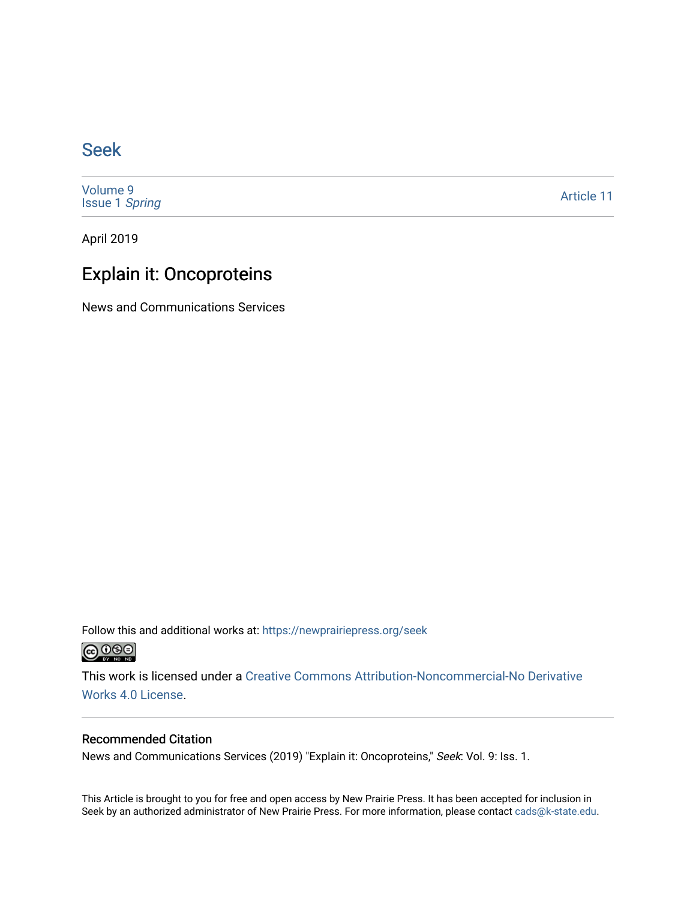### [Seek](https://newprairiepress.org/seek)

[Volume 9](https://newprairiepress.org/seek/vol9) [Issue 1](https://newprairiepress.org/seek/vol9/iss1) Spring

[Article 11](https://newprairiepress.org/seek/vol9/iss1/11) 

April 2019

### Explain it: Oncoproteins

News and Communications Services

Follow this and additional works at: [https://newprairiepress.org/seek](https://newprairiepress.org/seek?utm_source=newprairiepress.org%2Fseek%2Fvol9%2Fiss1%2F11&utm_medium=PDF&utm_campaign=PDFCoverPages)



This work is licensed under a [Creative Commons Attribution-Noncommercial-No Derivative](https://creativecommons.org/licenses/by-nc-nd/4.0/)  [Works 4.0 License](https://creativecommons.org/licenses/by-nc-nd/4.0/).

#### Recommended Citation

News and Communications Services (2019) "Explain it: Oncoproteins," Seek: Vol. 9: Iss. 1.

This Article is brought to you for free and open access by New Prairie Press. It has been accepted for inclusion in Seek by an authorized administrator of New Prairie Press. For more information, please contact [cads@k-state.edu](mailto:cads@k-state.edu).